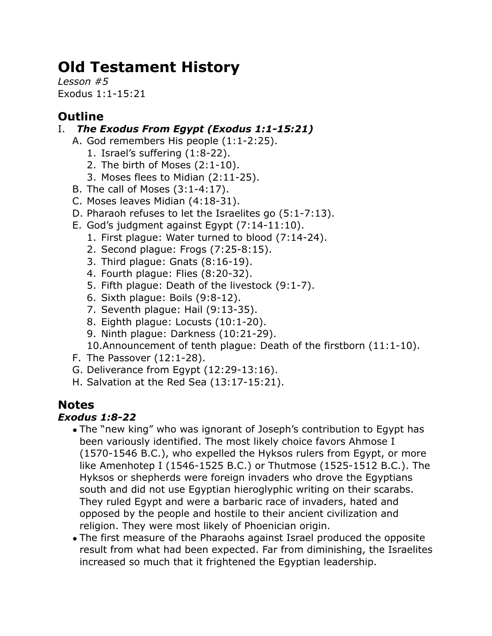# **Old Testament History**

*Lesson #5* Exodus 1:1-15:21

# **Outline**

## I. *The Exodus From Egypt (Exodus 1:1-15:21)*

- A. God remembers His people (1:1-2:25).
	- 1. Israel's suffering (1:8-22).
	- 2. The birth of Moses (2:1-10).
	- 3. Moses flees to Midian (2:11-25).
- B. The call of Moses (3:1-4:17).
- C. Moses leaves Midian (4:18-31).
- D. Pharaoh refuses to let the Israelites go (5:1-7:13).
- E. God's judgment against Egypt (7:14-11:10).
	- 1. First plague: Water turned to blood (7:14-24).
	- 2. Second plague: Frogs (7:25-8:15).
	- 3. Third plague: Gnats (8:16-19).
	- 4. Fourth plague: Flies (8:20-32).
	- 5. Fifth plague: Death of the livestock (9:1-7).
	- 6. Sixth plague: Boils (9:8-12).
	- 7. Seventh plague: Hail (9:13-35).
	- 8. Eighth plague: Locusts (10:1-20).
	- 9. Ninth plague: Darkness (10:21-29).

10.Announcement of tenth plague: Death of the firstborn (11:1-10).

- F. The Passover (12:1-28).
- G. Deliverance from Egypt (12:29-13:16).
- H. Salvation at the Red Sea (13:17-15:21).

# **Notes**

## *Exodus 1:8-22*

- The "new king" who was ignorant of Joseph's contribution to Egypt has been variously identified. The most likely choice favors Ahmose I (1570-1546 B.C.), who expelled the Hyksos rulers from Egypt, or more like Amenhotep I (1546-1525 B.C.) or Thutmose (1525-1512 B.C.). The Hyksos or shepherds were foreign invaders who drove the Egyptians south and did not use Egyptian hieroglyphic writing on their scarabs. They ruled Egypt and were a barbaric race of invaders, hated and opposed by the people and hostile to their ancient civilization and religion. They were most likely of Phoenician origin.
- The first measure of the Pharaohs against Israel produced the opposite result from what had been expected. Far from diminishing, the Israelites increased so much that it frightened the Egyptian leadership.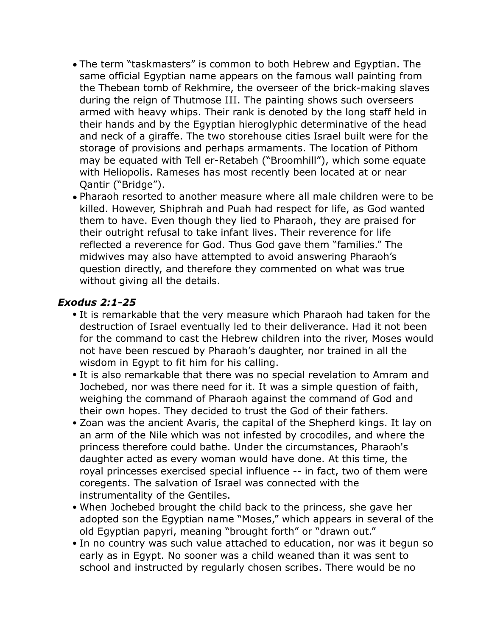- The term "taskmasters" is common to both Hebrew and Egyptian. The same official Egyptian name appears on the famous wall painting from the Thebean tomb of Rekhmire, the overseer of the brick-making slaves during the reign of Thutmose III. The painting shows such overseers armed with heavy whips. Their rank is denoted by the long staff held in their hands and by the Egyptian hieroglyphic determinative of the head and neck of a giraffe. The two storehouse cities Israel built were for the storage of provisions and perhaps armaments. The location of Pithom may be equated with Tell er-Retabeh ("Broomhill"), which some equate with Heliopolis. Rameses has most recently been located at or near Qantir ("Bridge").
- Pharaoh resorted to another measure where all male children were to be killed. However, Shiphrah and Puah had respect for life, as God wanted them to have. Even though they lied to Pharaoh, they are praised for their outright refusal to take infant lives. Their reverence for life reflected a reverence for God. Thus God gave them "families." The midwives may also have attempted to avoid answering Pharaoh's question directly, and therefore they commented on what was true without giving all the details.

#### *Exodus 2:1-25*

- It is remarkable that the very measure which Pharaoh had taken for the destruction of Israel eventually led to their deliverance. Had it not been for the command to cast the Hebrew children into the river, Moses would not have been rescued by Pharaoh's daughter, nor trained in all the wisdom in Egypt to fit him for his calling.
- It is also remarkable that there was no special revelation to Amram and Jochebed, nor was there need for it. It was a simple question of faith, weighing the command of Pharaoh against the command of God and their own hopes. They decided to trust the God of their fathers.
- Zoan was the ancient Avaris, the capital of the Shepherd kings. It lay on an arm of the Nile which was not infested by crocodiles, and where the princess therefore could bathe. Under the circumstances, Pharaoh's daughter acted as every woman would have done. At this time, the royal princesses exercised special influence -- in fact, two of them were coregents. The salvation of Israel was connected with the instrumentality of the Gentiles.
- When Jochebed brought the child back to the princess, she gave her adopted son the Egyptian name "Moses," which appears in several of the old Egyptian papyri, meaning "brought forth" or "drawn out."
- In no country was such value attached to education, nor was it begun so early as in Egypt. No sooner was a child weaned than it was sent to school and instructed by regularly chosen scribes. There would be no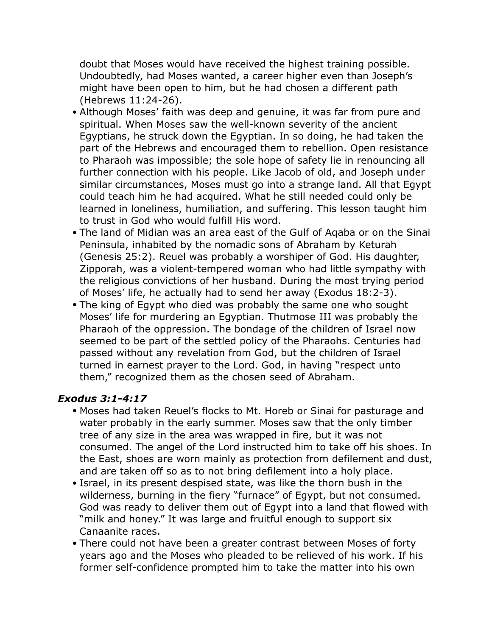doubt that Moses would have received the highest training possible. Undoubtedly, had Moses wanted, a career higher even than Joseph's might have been open to him, but he had chosen a different path (Hebrews 11:24-26).

- Although Moses' faith was deep and genuine, it was far from pure and spiritual. When Moses saw the well-known severity of the ancient Egyptians, he struck down the Egyptian. In so doing, he had taken the part of the Hebrews and encouraged them to rebellion. Open resistance to Pharaoh was impossible; the sole hope of safety lie in renouncing all further connection with his people. Like Jacob of old, and Joseph under similar circumstances, Moses must go into a strange land. All that Egypt could teach him he had acquired. What he still needed could only be learned in loneliness, humiliation, and suffering. This lesson taught him to trust in God who would fulfill His word.
- The land of Midian was an area east of the Gulf of Aqaba or on the Sinai Peninsula, inhabited by the nomadic sons of Abraham by Keturah (Genesis 25:2). Reuel was probably a worshiper of God. His daughter, Zipporah, was a violent-tempered woman who had little sympathy with the religious convictions of her husband. During the most trying period of Moses' life, he actually had to send her away (Exodus 18:2-3).
- The king of Egypt who died was probably the same one who sought Moses' life for murdering an Egyptian. Thutmose III was probably the Pharaoh of the oppression. The bondage of the children of Israel now seemed to be part of the settled policy of the Pharaohs. Centuries had passed without any revelation from God, but the children of Israel turned in earnest prayer to the Lord. God, in having "respect unto them," recognized them as the chosen seed of Abraham.

#### *Exodus 3:1-4:17*

- Moses had taken Reuel's flocks to Mt. Horeb or Sinai for pasturage and water probably in the early summer. Moses saw that the only timber tree of any size in the area was wrapped in fire, but it was not consumed. The angel of the Lord instructed him to take off his shoes. In the East, shoes are worn mainly as protection from defilement and dust, and are taken off so as to not bring defilement into a holy place.
- Israel, in its present despised state, was like the thorn bush in the wilderness, burning in the fiery "furnace" of Egypt, but not consumed. God was ready to deliver them out of Egypt into a land that flowed with "milk and honey." It was large and fruitful enough to support six Canaanite races.
- There could not have been a greater contrast between Moses of forty years ago and the Moses who pleaded to be relieved of his work. If his former self-confidence prompted him to take the matter into his own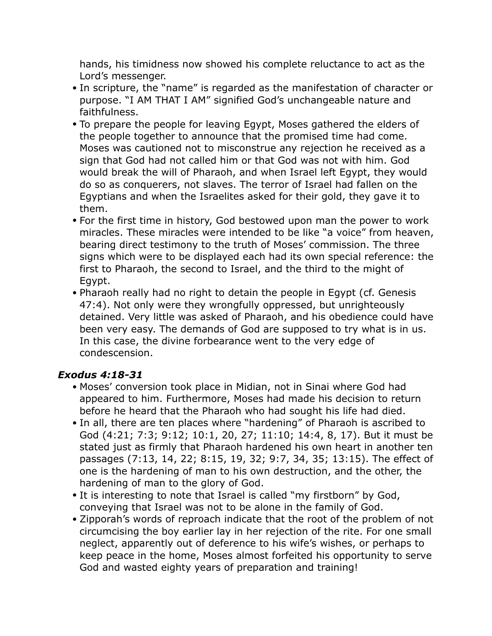hands, his timidness now showed his complete reluctance to act as the Lord's messenger.

- In scripture, the "name" is regarded as the manifestation of character or purpose. "I AM THAT I AM" signified God's unchangeable nature and faithfulness.
- To prepare the people for leaving Egypt, Moses gathered the elders of the people together to announce that the promised time had come. Moses was cautioned not to misconstrue any rejection he received as a sign that God had not called him or that God was not with him. God would break the will of Pharaoh, and when Israel left Egypt, they would do so as conquerers, not slaves. The terror of Israel had fallen on the Egyptians and when the Israelites asked for their gold, they gave it to them.
- For the first time in history, God bestowed upon man the power to work miracles. These miracles were intended to be like "a voice" from heaven, bearing direct testimony to the truth of Moses' commission. The three signs which were to be displayed each had its own special reference: the first to Pharaoh, the second to Israel, and the third to the might of Egypt.
- Pharaoh really had no right to detain the people in Egypt (cf. Genesis 47:4). Not only were they wrongfully oppressed, but unrighteously detained. Very little was asked of Pharaoh, and his obedience could have been very easy. The demands of God are supposed to try what is in us. In this case, the divine forbearance went to the very edge of condescension.

#### *Exodus 4:18-31*

- Moses' conversion took place in Midian, not in Sinai where God had appeared to him. Furthermore, Moses had made his decision to return before he heard that the Pharaoh who had sought his life had died.
- In all, there are ten places where "hardening" of Pharaoh is ascribed to God (4:21; 7:3; 9:12; 10:1, 20, 27; 11:10; 14:4, 8, 17). But it must be stated just as firmly that Pharaoh hardened his own heart in another ten passages (7:13, 14, 22; 8:15, 19, 32; 9:7, 34, 35; 13:15). The effect of one is the hardening of man to his own destruction, and the other, the hardening of man to the glory of God.
- It is interesting to note that Israel is called "my firstborn" by God, conveying that Israel was not to be alone in the family of God.
- Zipporah's words of reproach indicate that the root of the problem of not circumcising the boy earlier lay in her rejection of the rite. For one small neglect, apparently out of deference to his wife's wishes, or perhaps to keep peace in the home, Moses almost forfeited his opportunity to serve God and wasted eighty years of preparation and training!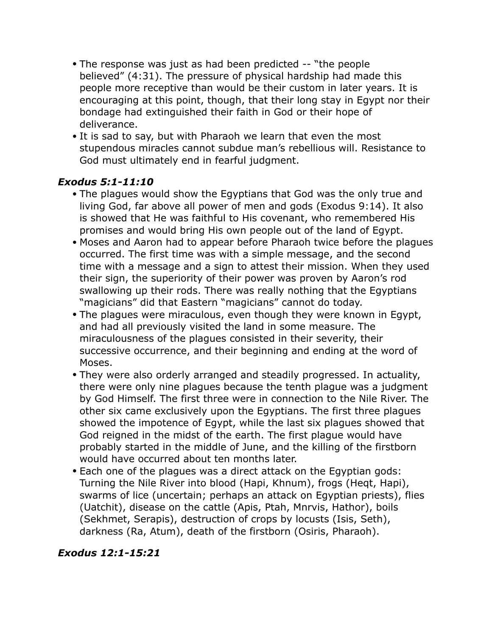- The response was just as had been predicted -- "the people believed" (4:31). The pressure of physical hardship had made this people more receptive than would be their custom in later years. It is encouraging at this point, though, that their long stay in Egypt nor their bondage had extinguished their faith in God or their hope of deliverance.
- It is sad to say, but with Pharaoh we learn that even the most stupendous miracles cannot subdue man's rebellious will. Resistance to God must ultimately end in fearful judgment.

#### *Exodus 5:1-11:10*

- The plagues would show the Egyptians that God was the only true and living God, far above all power of men and gods (Exodus 9:14). It also is showed that He was faithful to His covenant, who remembered His promises and would bring His own people out of the land of Egypt.
- Moses and Aaron had to appear before Pharaoh twice before the plagues occurred. The first time was with a simple message, and the second time with a message and a sign to attest their mission. When they used their sign, the superiority of their power was proven by Aaron's rod swallowing up their rods. There was really nothing that the Egyptians "magicians" did that Eastern "magicians" cannot do today.
- The plagues were miraculous, even though they were known in Egypt, and had all previously visited the land in some measure. The miraculousness of the plagues consisted in their severity, their successive occurrence, and their beginning and ending at the word of Moses.
- They were also orderly arranged and steadily progressed. In actuality, there were only nine plagues because the tenth plague was a judgment by God Himself. The first three were in connection to the Nile River. The other six came exclusively upon the Egyptians. The first three plagues showed the impotence of Egypt, while the last six plagues showed that God reigned in the midst of the earth. The first plague would have probably started in the middle of June, and the killing of the firstborn would have occurred about ten months later.
- Each one of the plagues was a direct attack on the Egyptian gods: Turning the Nile River into blood (Hapi, Khnum), frogs (Heqt, Hapi), swarms of lice (uncertain; perhaps an attack on Egyptian priests), flies (Uatchit), disease on the cattle (Apis, Ptah, Mnrvis, Hathor), boils (Sekhmet, Serapis), destruction of crops by locusts (Isis, Seth), darkness (Ra, Atum), death of the firstborn (Osiris, Pharaoh).

## *Exodus 12:1-15:21*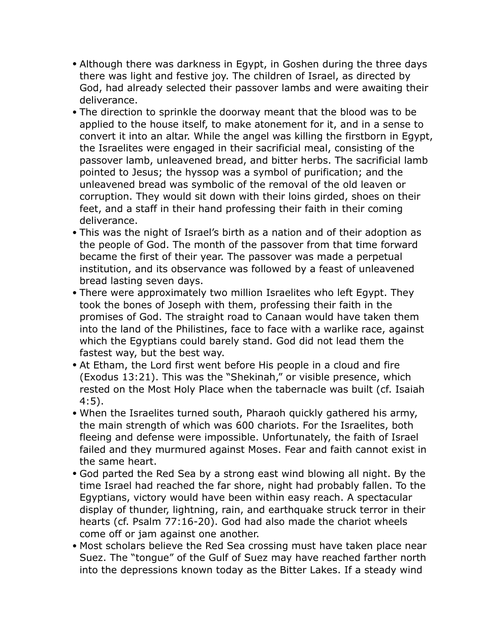- Although there was darkness in Egypt, in Goshen during the three days there was light and festive joy. The children of Israel, as directed by God, had already selected their passover lambs and were awaiting their deliverance.
- The direction to sprinkle the doorway meant that the blood was to be applied to the house itself, to make atonement for it, and in a sense to convert it into an altar. While the angel was killing the firstborn in Egypt, the Israelites were engaged in their sacrificial meal, consisting of the passover lamb, unleavened bread, and bitter herbs. The sacrificial lamb pointed to Jesus; the hyssop was a symbol of purification; and the unleavened bread was symbolic of the removal of the old leaven or corruption. They would sit down with their loins girded, shoes on their feet, and a staff in their hand professing their faith in their coming deliverance.
- This was the night of Israel's birth as a nation and of their adoption as the people of God. The month of the passover from that time forward became the first of their year. The passover was made a perpetual institution, and its observance was followed by a feast of unleavened bread lasting seven days.
- There were approximately two million Israelites who left Egypt. They took the bones of Joseph with them, professing their faith in the promises of God. The straight road to Canaan would have taken them into the land of the Philistines, face to face with a warlike race, against which the Egyptians could barely stand. God did not lead them the fastest way, but the best way.
- At Etham, the Lord first went before His people in a cloud and fire (Exodus 13:21). This was the "Shekinah," or visible presence, which rested on the Most Holy Place when the tabernacle was built (cf. Isaiah 4:5).
- When the Israelites turned south, Pharaoh quickly gathered his army, the main strength of which was 600 chariots. For the Israelites, both fleeing and defense were impossible. Unfortunately, the faith of Israel failed and they murmured against Moses. Fear and faith cannot exist in the same heart.
- God parted the Red Sea by a strong east wind blowing all night. By the time Israel had reached the far shore, night had probably fallen. To the Egyptians, victory would have been within easy reach. A spectacular display of thunder, lightning, rain, and earthquake struck terror in their hearts (cf. Psalm 77:16-20). God had also made the chariot wheels come off or jam against one another.
- Most scholars believe the Red Sea crossing must have taken place near Suez. The "tongue" of the Gulf of Suez may have reached farther north into the depressions known today as the Bitter Lakes. If a steady wind